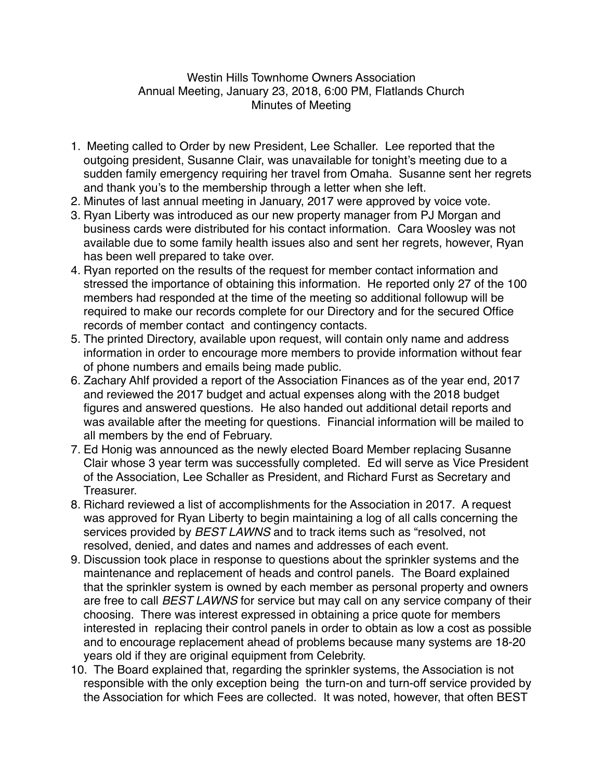## Westin Hills Townhome Owners Association Annual Meeting, January 23, 2018, 6:00 PM, Flatlands Church Minutes of Meeting

- 1. Meeting called to Order by new President, Lee Schaller. Lee reported that the outgoing president, Susanne Clair, was unavailable for tonight's meeting due to a sudden family emergency requiring her travel from Omaha. Susanne sent her regrets and thank you's to the membership through a letter when she left.
- 2. Minutes of last annual meeting in January, 2017 were approved by voice vote.
- 3. Ryan Liberty was introduced as our new property manager from PJ Morgan and business cards were distributed for his contact information. Cara Woosley was not available due to some family health issues also and sent her regrets, however, Ryan has been well prepared to take over.
- 4. Ryan reported on the results of the request for member contact information and stressed the importance of obtaining this information. He reported only 27 of the 100 members had responded at the time of the meeting so additional followup will be required to make our records complete for our Directory and for the secured Office records of member contact and contingency contacts.
- 5. The printed Directory, available upon request, will contain only name and address information in order to encourage more members to provide information without fear of phone numbers and emails being made public.
- 6. Zachary Ahlf provided a report of the Association Finances as of the year end, 2017 and reviewed the 2017 budget and actual expenses along with the 2018 budget figures and answered questions. He also handed out additional detail reports and was available after the meeting for questions. Financial information will be mailed to all members by the end of February.
- 7. Ed Honig was announced as the newly elected Board Member replacing Susanne Clair whose 3 year term was successfully completed. Ed will serve as Vice President of the Association, Lee Schaller as President, and Richard Furst as Secretary and Treasurer.
- 8. Richard reviewed a list of accomplishments for the Association in 2017. A request was approved for Ryan Liberty to begin maintaining a log of all calls concerning the services provided by *BEST LAWNS* and to track items such as "resolved, not resolved, denied, and dates and names and addresses of each event.
- 9. Discussion took place in response to questions about the sprinkler systems and the maintenance and replacement of heads and control panels. The Board explained that the sprinkler system is owned by each member as personal property and owners are free to call *BEST LAWNS* for service but may call on any service company of their choosing. There was interest expressed in obtaining a price quote for members interested in replacing their control panels in order to obtain as low a cost as possible and to encourage replacement ahead of problems because many systems are 18-20 years old if they are original equipment from Celebrity.
- 10. The Board explained that, regarding the sprinkler systems, the Association is not responsible with the only exception being the turn-on and turn-off service provided by the Association for which Fees are collected. It was noted, however, that often BEST